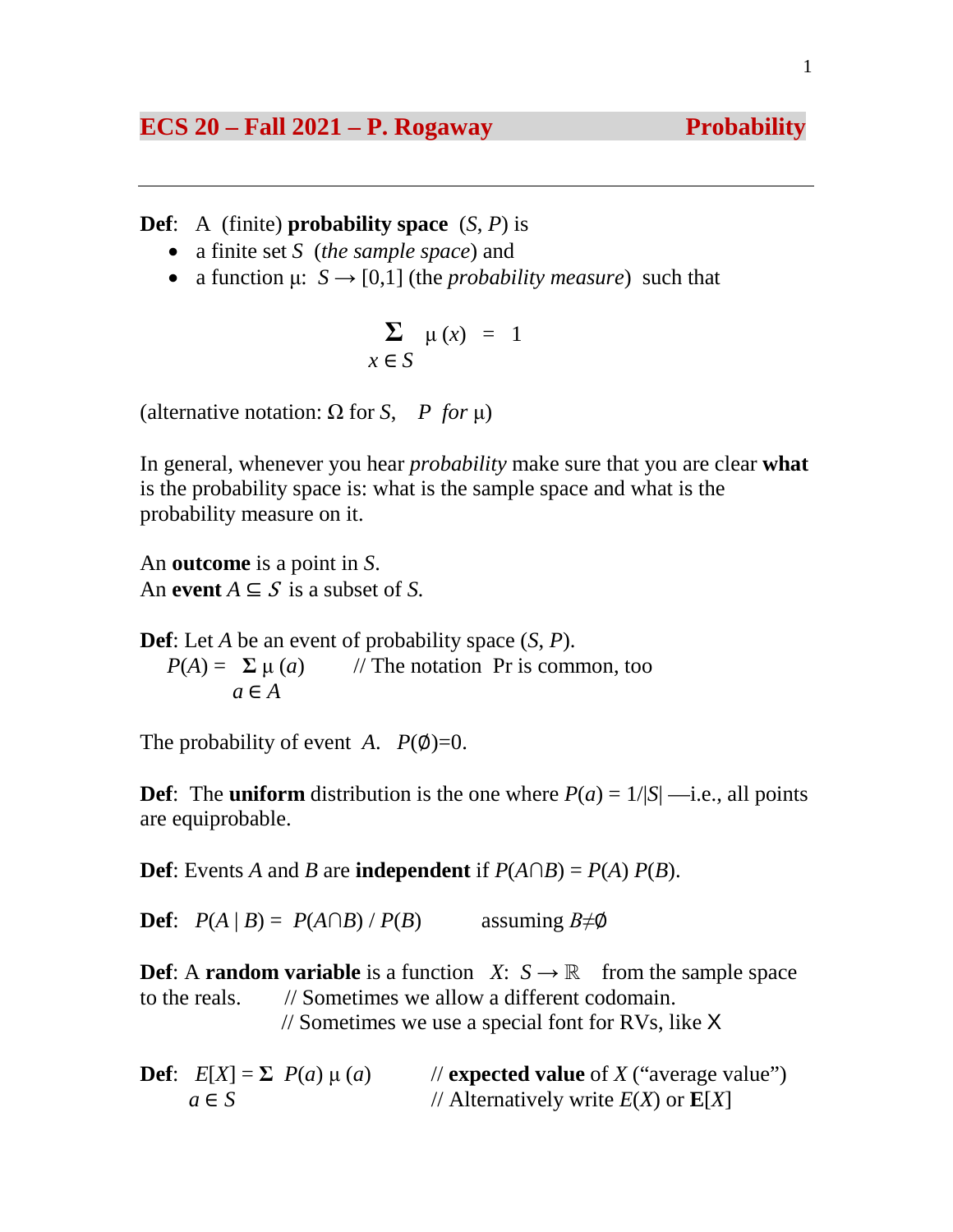# **ECS 20 – Fall 2021 – P. Rogaway Probability**

**Def**: A (finite) **probability space** (*S*, *P*) is

- a finite set *S* (*the sample space*) and
- a function  $\mu$ :  $S \rightarrow [0,1]$  (the *probability measure*) such that

$$
\sum_{x \in S} \mu(x) = 1
$$

(alternative notation:  $\Omega$  for *S*, *P* for  $\mu$ )

In general, whenever you hear *probability* make sure that you are clear **what** is the probability space is: what is the sample space and what is the probability measure on it.

An **outcome** is a point in *S*. An **event**  $A \subseteq S$  is a subset of *S*.

**Def**: Let *A* be an event of probability space (*S*, *P*).  $P(A) = \sum \mu(a)$  // The notation Pr is common, too  $a \in A$ 

The probability of event *A*.  $P(\emptyset)=0$ .

**Def**: The **uniform** distribution is the one where  $P(a) = 1/|S|$  —i.e., all points are equiprobable.

**Def**: Events *A* and *B* are **independent** if  $P(A \cap B) = P(A) P(B)$ .

**Def**:  $P(A | B) = P(A \cap B) / P(B)$  assuming  $B \neq \emptyset$ 

**Def**: A **random variable** is a function *X*:  $S \rightarrow \mathbb{R}$  from the sample space to the reals. // Sometimes we allow a different codomain. // Sometimes we use a special font for RVs, like X

**Def**:  $E[X] = \sum P(a) \mu(a)$  // **expected value** of *X* ("average value")  $a \in S$  // Alternatively write  $E(X)$  or  $E[X]$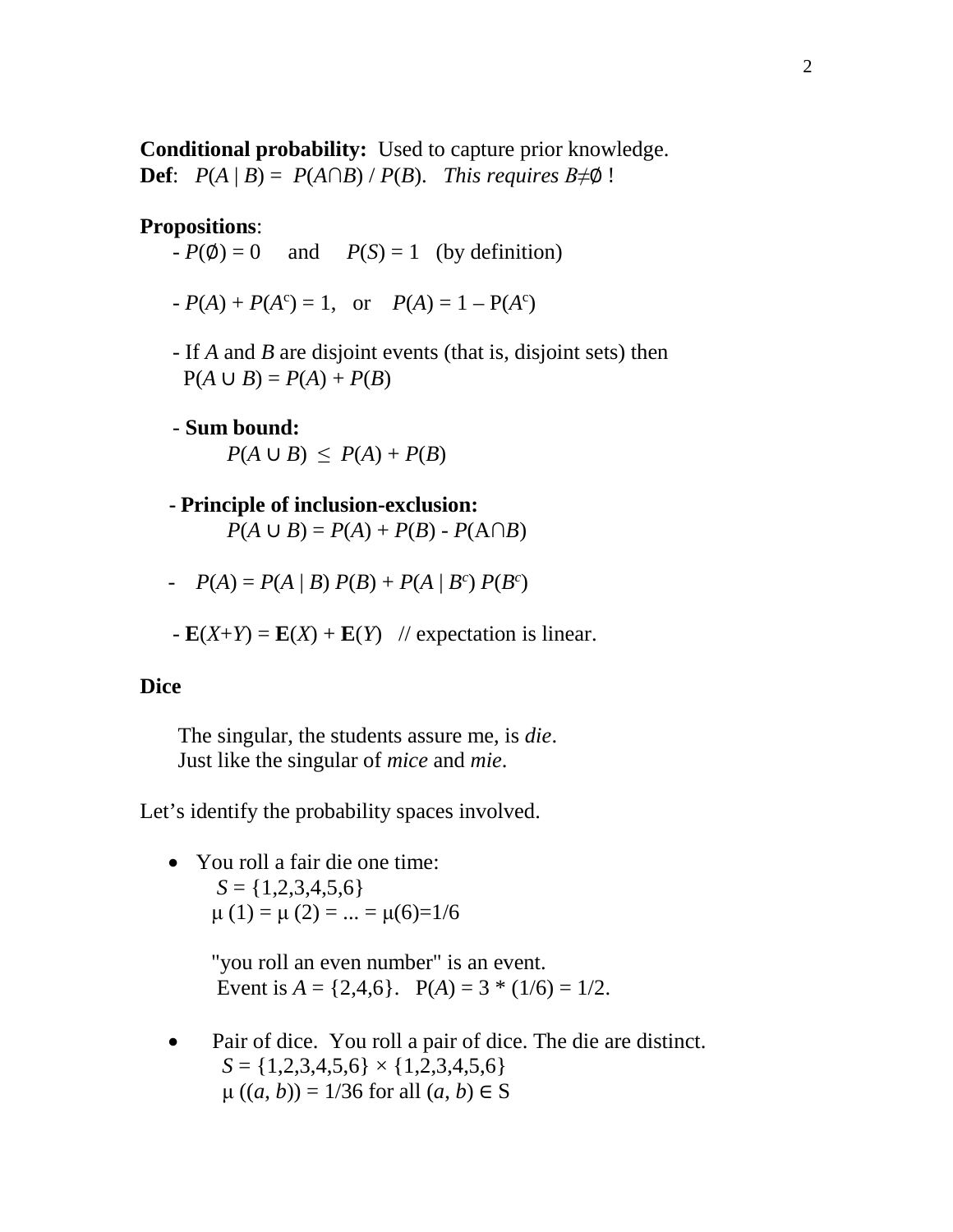**Conditional probability:** Used to capture prior knowledge. **Def**:  $P(A | B) = P(A \cap B) / P(B)$ . *This requires*  $B \neq \emptyset$ !

#### **Propositions**:

- $-P(\emptyset) = 0$  and  $P(S) = 1$  (by definition)
- $P(A) + P(A^c) = 1$ , or  $P(A) = 1 P(A^c)$ 
	- If *A* and *B* are disjoint events (that is, disjoint sets) then  $P(A \cup B) = P(A) + P(B)$
	- **Sum bound:**  $P(A \cup B) \leq P(A) + P(B)$
	- **Principle of inclusion-exclusion:** *P*(*A* ∪ *B*) = *P*(*A*) + *P*(*B*) - *P*(*A*∩*B*)
	- *-*  $P(A) = P(A | B) P(B) + P(A | B^c) P(B^c)$
	- $\mathbf{E}(X+Y) = \mathbf{E}(X) + \mathbf{E}(Y)$  // expectation is linear.

#### **Dice**

 The singular, the students assure me, is *die*. Just like the singular of *mice* and *mie*.

Let's identify the probability spaces involved.

• You roll a fair die one time:  $S = \{1,2,3,4,5,6\}$  $\mu(1) = \mu(2) = ... = \mu(6)=1/6$ 

> "you roll an even number" is an event. Event is  $A = \{2, 4, 6\}$ .  $P(A) = 3 * (1/6) = 1/2$ .

• Pair of dice. You roll a pair of dice. The die are distinct.  $S = \{1,2,3,4,5,6\} \times \{1,2,3,4,5,6\}$  $\mu((a, b)) = 1/36$  for all  $(a, b) \in S$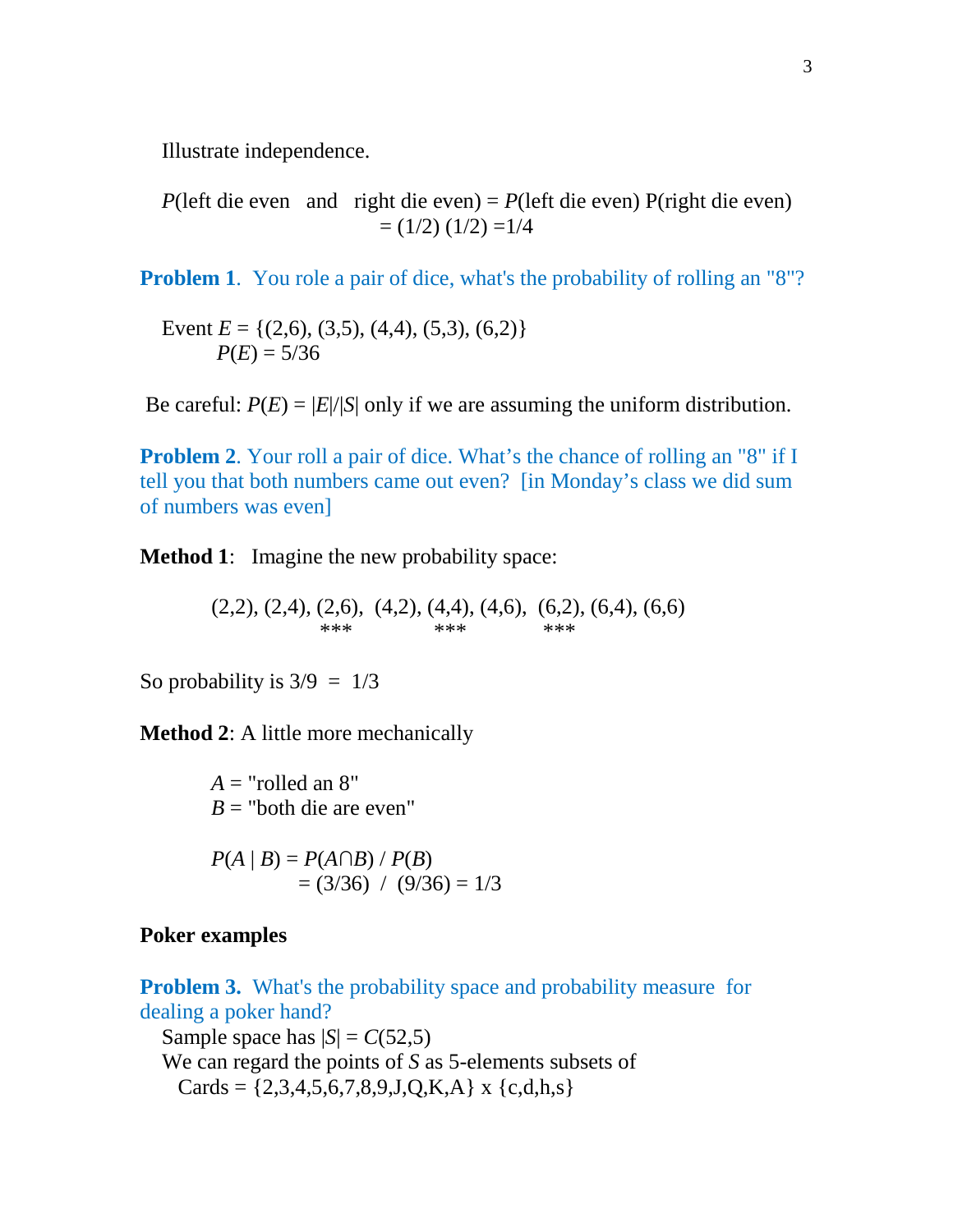Illustrate independence.

*P*(left die even and right die even) = *P*(left die even) P(right die even)  $=(1/2) (1/2) = 1/4$ 

**Problem 1.** You role a pair of dice, what's the probability of rolling an "8"?

Event  $E = \{(2,6), (3,5), (4,4), (5,3), (6,2)\}\$  $P(E) = 5/36$ 

Be careful:  $P(E) = |E|/|S|$  only if we are assuming the uniform distribution.

**Problem 2.** Your roll a pair of dice. What's the chance of rolling an "8" if I tell you that both numbers came out even? [in Monday's class we did sum of numbers was even]

**Method 1**: Imagine the new probability space:

 $(2,2), (2,4), (2,6), (4,2), (4,4), (4,6), (6,2), (6,4), (6,6)$ <br>\*\*\*<br>\*\*\* \*\*\* \*\*\*

So probability is  $3/9 = 1/3$ 

**Method 2**: A little more mechanically

 $A =$ "rolled an  $8"$  $B =$  "both die are even"

$$
P(A | B) = P(A \cap B) / P(B)
$$
  
= (3/36) / (9/36) = 1/3

# **Poker examples**

**Problem 3.** What's the probability space and probability measure for dealing a poker hand?

Sample space has  $|S| = C(52,5)$  We can regard the points of *S* as 5-elements subsets of Cards =  $\{2,3,4,5,6,7,8,9,J,Q,K,A\}$  x  $\{c,d,h,s\}$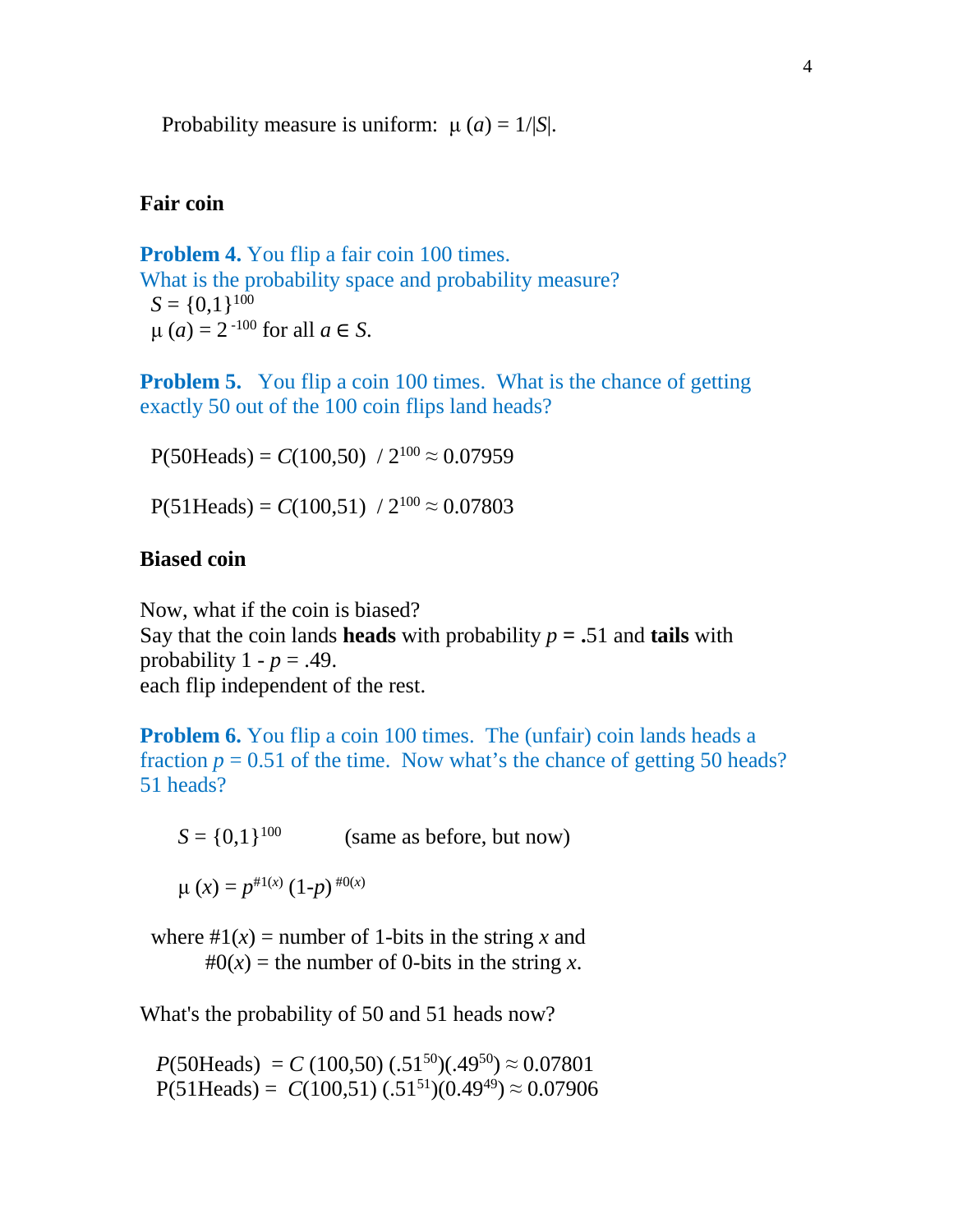Probability measure is uniform:  $\mu(a) = 1/|S|$ .

## **Fair coin**

**Problem 4.** You flip a fair coin 100 times. What is the probability space and probability measure?  $S = \{0,1\}^{100}$  $μ$  (*a*) = 2<sup>-100</sup> for all *a* ∈ *S*.

**Problem 5.** You flip a coin 100 times. What is the chance of getting exactly 50 out of the 100 coin flips land heads?

 $P(50 \text{Heads}) = C(100,50) / 2^{100} \approx 0.07959$ 

 $P(51 \text{Heads}) = C(100,51) / 2^{100} \approx 0.07803$ 

## **Biased coin**

Now, what if the coin is biased? Say that the coin lands **heads** with probability  $p = .51$  and **tails** with probability  $1 - p = .49$ . each flip independent of the rest.

**Problem 6.** You flip a coin 100 times. The (unfair) coin lands heads a fraction  $p = 0.51$  of the time. Now what's the chance of getting 50 heads? 51 heads?

 $S = \{0,1\}^{100}$  (same as before, but now)

$$
\mu(x) = p^{\#1(x)} (1-p)^{\#0(x)}
$$

where  $\#1(x)$  = number of 1-bits in the string x and  $#0(x)$  = the number of 0-bits in the string x.

What's the probability of 50 and 51 heads now?

 $P(50 \text{Heads}) = C (100,50) (0.51^{50}) (0.49^{50}) \approx 0.07801$  $P(51 \text{Heads}) = C(100,51) (.51^{51})(0.49^{49}) \approx 0.07906$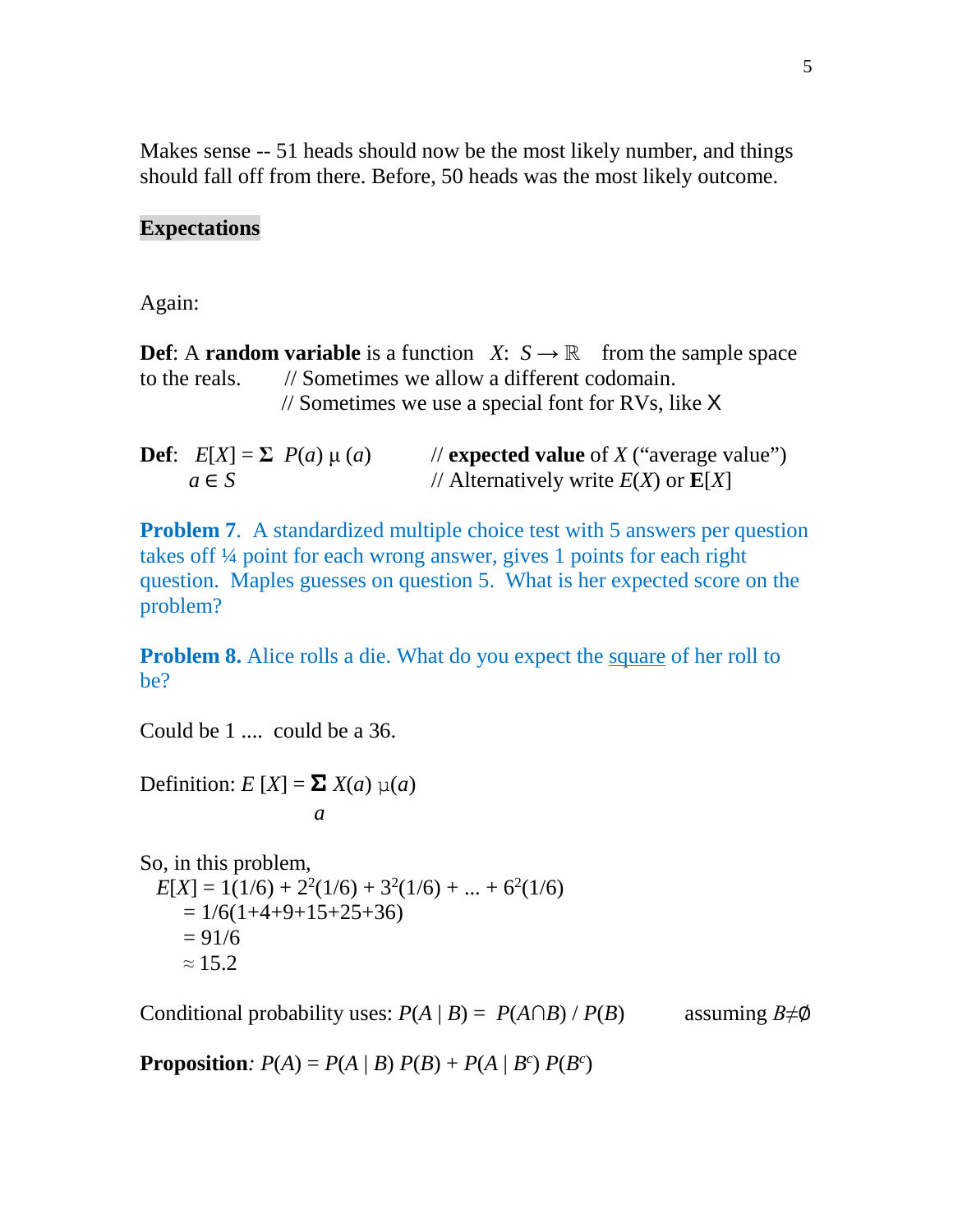Makes sense -- 51 heads should now be the most likely number, and things should fall off from there. Before, 50 heads was the most likely outcome.

#### **Expectations**

Again:

**Def**: A **random variable** is a function *X*:  $S \rightarrow \mathbb{R}$  from the sample space to the reals. // Sometimes we allow a different codomain. // Sometimes we use a special font for RVs, like X

**Def**:  $E[X] = \sum P(a) \mu(a)$  // **expected value** of *X* ("average value")  $a \in S$  // Alternatively write  $E(X)$  or  $E[X]$ 

**Problem 7.** A standardized multiple choice test with 5 answers per question takes off ¼ point for each wrong answer, gives 1 points for each right question. Maples guesses on question 5. What is her expected score on the problem?

**Problem 8.** Alice rolls a die. What do you expect the square of her roll to be?

Could be 1 .... could be a 36.

Definition: *E* [*X*] = **Σ** *X*(*a*) μ(*a*)

$$
a \quad a
$$

So, in this problem,  $E[X] = 1(1/6) + 2^2(1/6) + 3^2(1/6) + ... + 6^2(1/6)$  $= 1/6(1+4+9+15+25+36)$  $= 91/6$  $\approx 15.2$ 

Conditional probability uses:  $P(A | B) = P(A \cap B) / P(B)$  assuming  $B \neq \emptyset$ 

**Proposition**:  $P(A) = P(A | B) P(B) + P(A | B^c) P(B^c)$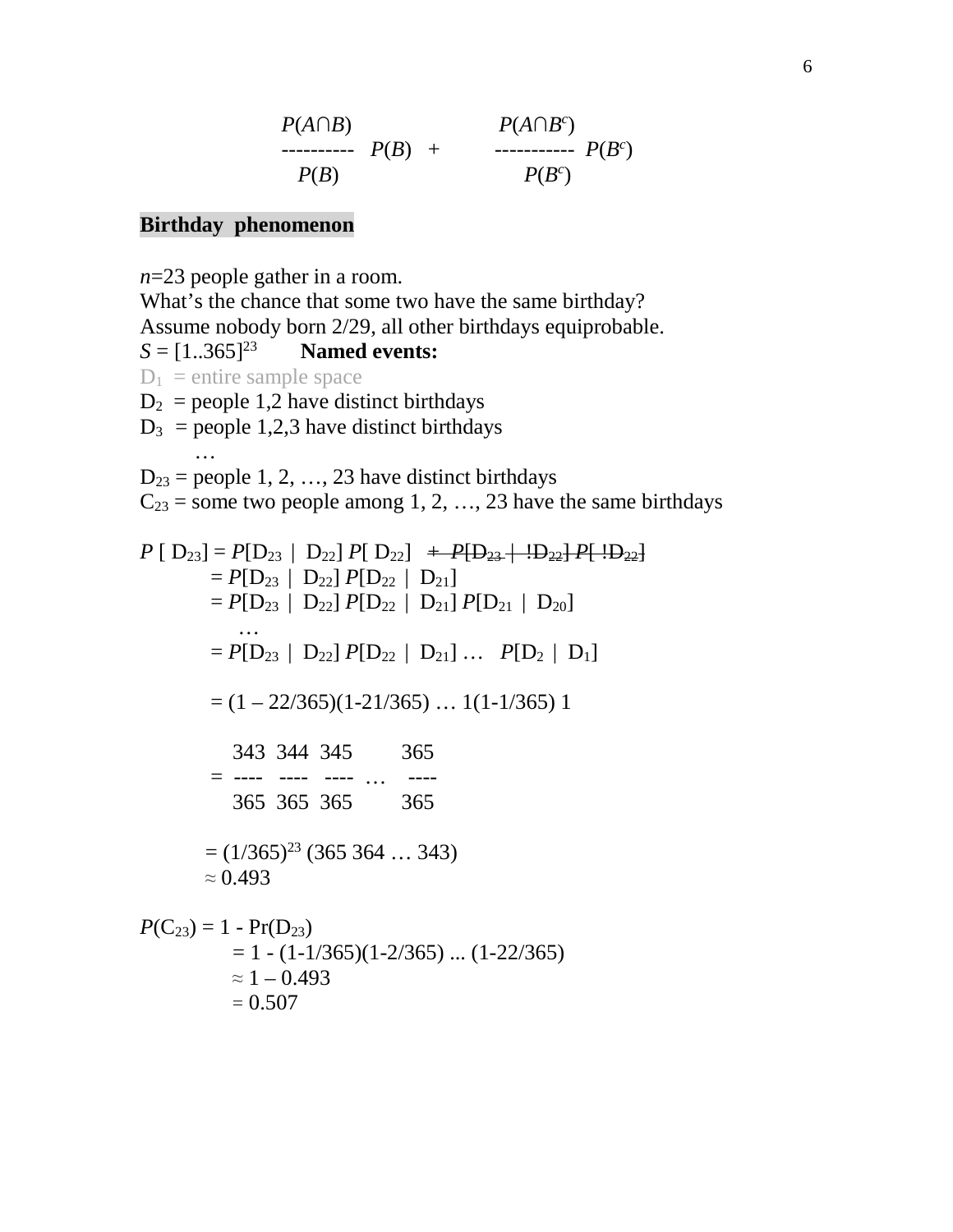$$
P(A \cap B) \qquad P(A \cap B^c) \qquad P(B) \qquad + \qquad P(B^c) \qquad P(B^c) \qquad P(B^c)
$$

## **Birthday phenomenon**

 $= 0.507$ 

*n*=23 people gather in a room. What's the chance that some two have the same birthday? Assume nobody born 2/29, all other birthdays equiprobable.  $S = [1..365]^{23}$  **Named events:**  $D_1$  = entire sample space  $D_2$  = people 1,2 have distinct birthdays  $D_3$  = people 1,2,3 have distinct birthdays …  $D_{23}$  = people 1, 2, ..., 23 have distinct birthdays  $C_{23}$  = some two people among 1, 2, ..., 23 have the same birthdays  $P [ D_{23}] = P [ D_{23} | D_{22}] P [ D_{22}] + P [ D_{23} + D_{22}] P [ D_{23}]$  $= P[D_{23} | D_{22}] P[D_{22} | D_{21}]$  $= P[D_{23} | D_{22}] P[D_{22} | D_{21}] P[D_{21} | D_{20}]$  …  $= P[D_{23} | D_{22}] P[D_{22} | D_{21}] ... P[D_2 | D_1]$  $= (1 - 22/365)(1 - 21/365) \dots (1 - 1/365) 1$  343 344 345 365  $=$  ---- ---- ---- … ---- 365 365 365 365  $=(1/365)^{23}$  (365 364 ... 343)  $\approx 0.493$  $P(C_{23}) = 1 - Pr(D_{23})$  $= 1 - (1 - 1/365)(1 - 2/365) \dots (1 - 22/365)$  $\approx$  1 – 0.493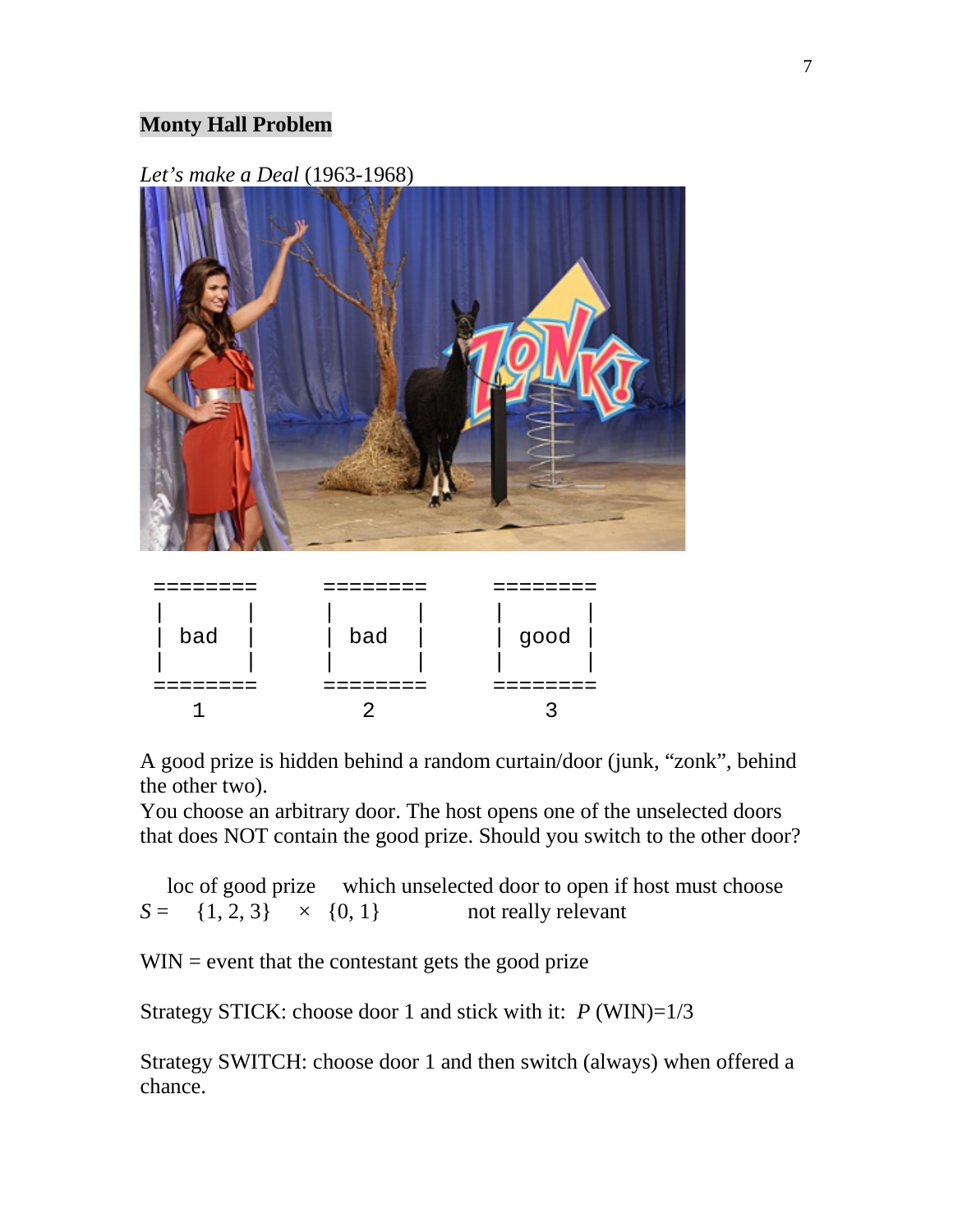# **Monty Hall Problem**

*Let's make a Deal* (1963-1968)



| bad | bad | good |
|-----|-----|------|
|     |     |      |
|     |     |      |

A good prize is hidden behind a random curtain/door (junk, "zonk", behind the other two).

You choose an arbitrary door. The host opens one of the unselected doors that does NOT contain the good prize. Should you switch to the other door?

 loc of good prize which unselected door to open if host must choose  $S = \{1, 2, 3\} \times \{0, 1\}$  not really relevant

 $WIN =$  event that the contestant gets the good prize

Strategy STICK: choose door 1 and stick with it: *P* (WIN)=1/3

Strategy SWITCH: choose door 1 and then switch (always) when offered a chance.